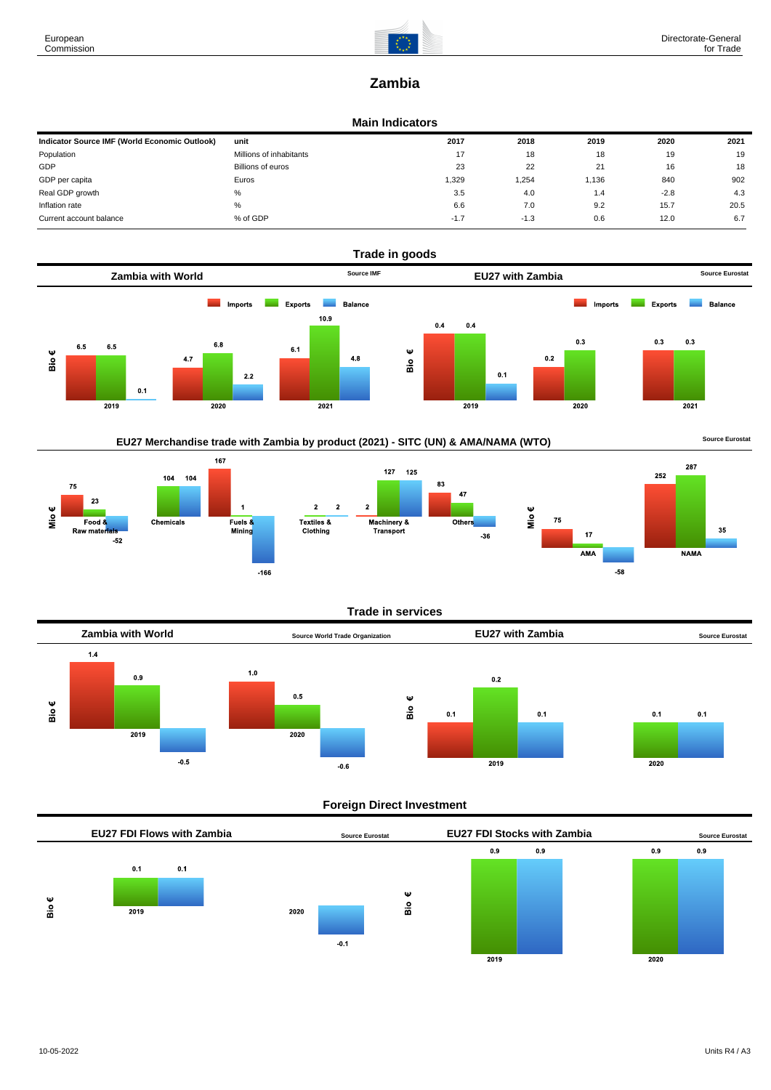

# **Zambia**

#### **Main Indicators**

| Indicator Source IMF (World Economic Outlook) | unit                    | 2017   | 2018   | 2019  | 2020   | 2021 |
|-----------------------------------------------|-------------------------|--------|--------|-------|--------|------|
| Population                                    | Millions of inhabitants | 17     | 18     | 18    | 19     | 19   |
| GDP                                           | Billions of euros       | 23     | 22     | 21    | 16     | 18   |
| GDP per capita                                | Euros                   | 1,329  | 1,254  | 1,136 | 840    | 902  |
| Real GDP growth                               | %                       | 3.5    | 4.0    | 1.4   | $-2.8$ | 4.3  |
| Inflation rate                                | $\%$                    | 6.6    | 7.0    | 9.2   | 15.7   | 20.5 |
| Current account balance                       | % of GDP                | $-1.7$ | $-1.3$ | 0.6   | 12.0   | 6.7  |



# EU27 Merchandise trade with Zambia by product (2021) - SITC (UN) & AMA/NAMA (WTO) **Source Eurostat**









#### **Trade in services**



## **Foreign Direct Investment**